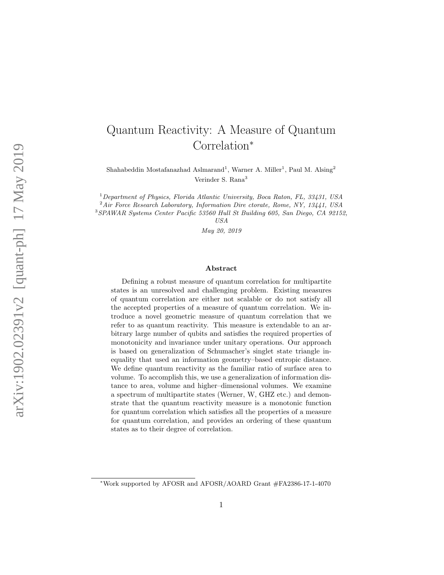# Quantum Reactivity: A Measure of Quantum Correlation ∗

Shahabeddin Mostafanazhad Aslmarand<sup>1</sup>, Warner A. Miller<sup>1</sup>, Paul M. Alsing<sup>2</sup> Verinder S. Rana 3

<sup>1</sup> Department of Physics, Florida Atlantic University, Boca Raton, FL, 33431, USA

 $2 Air$  Force Research Laboratory, Information Dire ctorate, Rome, NY, 13441, USA

<sup>3</sup>SPAWAR Systems Center Pacific 53560 Hull St Building 605, San Diego, CA 92152,

USA

May 20, 2019

#### Abstract

Defining a robust measure of quantum correlation for multipartite states is an unresolved and challenging problem. Existing measures of quantum correlation are either not scalable or do not satisfy all the accepted properties of a measure of quantum correlation. We introduce a novel geometric measure of quantum correlation that we refer to as quantum reactivity. This measure is extendable to an arbitrary large number of qubits and satisfies the required properties of monotonicity and invariance under unitary operations. Our approach is based on generalization of Schumacher's singlet state triangle inequality that used an information geometry–based entropic distance. We define quantum reactivity as the familiar ratio of surface area to volume. To accomplish this, we use a generalization of information distance to area, volume and higher–dimensional volumes. We examine a spectrum of multipartite states (Werner, W, GHZ etc.) and demonstrate that the quantum reactivity measure is a monotonic function for quantum correlation which satisfies all the properties of a measure for quantum correlation, and provides an ordering of these quantum states as to their degree of correlation.

<sup>∗</sup>Work supported by AFOSR and AFOSR/AOARD Grant #FA2386-17-1-4070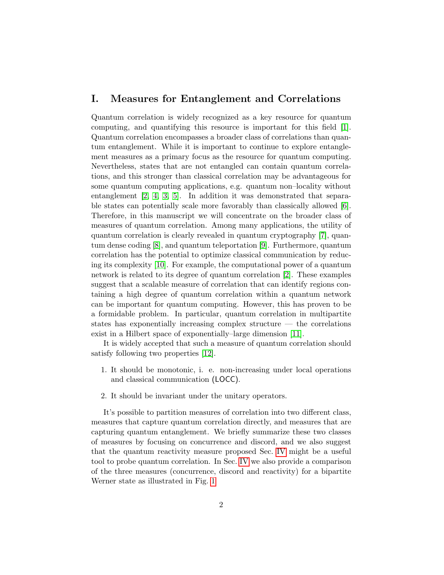### <span id="page-1-0"></span>I. Measures for Entanglement and Correlations

Quantum correlation is widely recognized as a key resource for quantum computing, and quantifying this resource is important for this field [\[1\]](#page-20-0). Quantum correlation encompasses a broader class of correlations than quantum entanglement. While it is important to continue to explore entanglement measures as a primary focus as the resource for quantum computing. Nevertheless, states that are not entangled can contain quantum correlations, and this stronger than classical correlation may be advantageous for some quantum computing applications, e.g. quantum non–locality without entanglement [\[2,](#page-20-1) [4,](#page-20-2) [3,](#page-20-3) [5\]](#page-20-4). In addition it was demonstrated that separable states can potentially scale more favorably than classically allowed [\[6\]](#page-21-0). Therefore, in this manuscript we will concentrate on the broader class of measures of quantum correlation. Among many applications, the utility of quantum correlation is clearly revealed in quantum cryptography [\[7\]](#page-21-1), quantum dense coding [\[8\]](#page-21-2), and quantum teleportation [\[9\]](#page-21-3). Furthermore, quantum correlation has the potential to optimize classical communication by reducing its complexity [\[10\]](#page-21-4). For example, the computational power of a quantum network is related to its degree of quantum correlation [\[2\]](#page-20-1). These examples suggest that a scalable measure of correlation that can identify regions containing a high degree of quantum correlation within a quantum network can be important for quantum computing. However, this has proven to be a formidable problem. In particular, quantum correlation in multipartite states has exponentially increasing complex structure — the correlations exist in a Hilbert space of exponentially–large dimension [\[11\]](#page-21-5).

It is widely accepted that such a measure of quantum correlation should satisfy following two properties [\[12\]](#page-21-6).

- 1. It should be monotonic, i. e. non-increasing under local operations and classical communication (LOCC).
- 2. It should be invariant under the unitary operators.

It's possible to partition measures of correlation into two different class, measures that capture quantum correlation directly, and measures that are capturing quantum entanglement. We briefly summarize these two classes of measures by focusing on concurrence and discord, and we also suggest that the quantum reactivity measure proposed Sec. [IV](#page-12-0) might be a useful tool to probe quantum correlation. In Sec. [IV](#page-12-0) we also provide a comparison of the three measures (concurrence, discord and reactivity) for a bipartite Werner state as illustrated in Fig. [1](#page-2-0)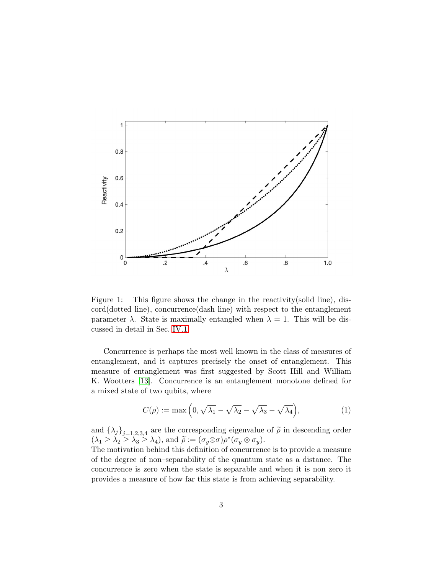

<span id="page-2-0"></span>Figure 1: This figure shows the change in the reactivity (solid line), discord(dotted line), concurrence(dash line) with respect to the entanglement parameter  $\lambda$ . State is maximally entangled when  $\lambda = 1$ . This will be discussed in detail in Sec. [IV.1.](#page-13-0)

Concurrence is perhaps the most well known in the class of measures of entanglement, and it captures precisely the onset of entanglement. This measure of entanglement was first suggested by Scott Hill and William K. Wootters [\[13\]](#page-21-7). Concurrence is an entanglement monotone defined for a mixed state of two qubits, where

$$
C(\rho) := \max\left(0, \sqrt{\lambda_1} - \sqrt{\lambda_2} - \sqrt{\lambda_3} - \sqrt{\lambda_4}\right),\tag{1}
$$

and  $\{\lambda_j\}_{j=1,2,3,4}$  are the corresponding eigenvalue of  $\tilde{\rho}$  in descending order  $(\lambda_1 \geq \lambda_2 \geq \lambda_3 \geq \lambda_4)$ , and  $\tilde{\rho} := (\sigma_y \otimes \sigma) \rho^*(\sigma_y \otimes \sigma_y)$ .<br>The matigation behind this definition of concurrence

The motivation behind this definition of concurrence is to provide a measure of the degree of non–separability of the quantum state as a distance. The concurrence is zero when the state is separable and when it is non zero it provides a measure of how far this state is from achieving separability.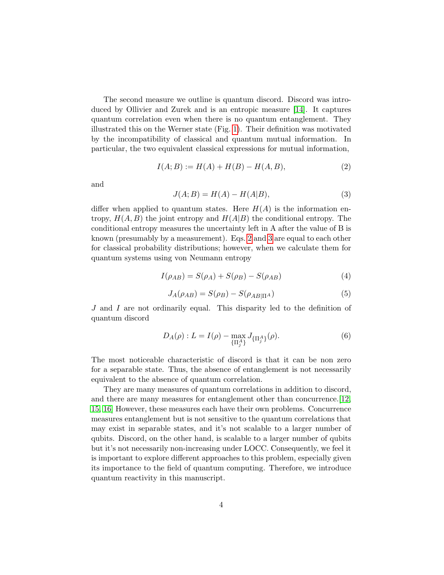The second measure we outline is quantum discord. Discord was introduced by Ollivier and Zurek and is an entropic measure [\[14\]](#page-21-8). It captures quantum correlation even when there is no quantum entanglement. They illustrated this on the Werner state (Fig. [1\)](#page-2-0). Their definition was motivated by the incompatibility of classical and quantum mutual information. In particular, the two equivalent classical expressions for mutual information,

<span id="page-3-0"></span>
$$
I(A;B) := H(A) + H(B) - H(A,B),
$$
\n(2)

and

<span id="page-3-1"></span>
$$
J(A;B) = H(A) - H(A|B),\tag{3}
$$

differ when applied to quantum states. Here  $H(A)$  is the information entropy,  $H(A, B)$  the joint entropy and  $H(A|B)$  the conditional entropy. The conditional entropy measures the uncertainty left in A after the value of B is known (presumably by a measurement). Eqs. [2](#page-3-0) and [3](#page-3-1) are equal to each other for classical probability distributions; however, when we calculate them for quantum systems using von Neumann entropy

$$
I(\rho_{AB}) = S(\rho_A) + S(\rho_B) - S(\rho_{AB})
$$
\n(4)

$$
J_A(\rho_{AB}) = S(\rho_B) - S(\rho_{AB|\Pi^A})
$$
\n(5)

J and I are not ordinarily equal. This disparity led to the definition of quantum discord

$$
D_A(\rho) : L = I(\rho) - \max_{\{\Pi_j^A\}} J_{\{\Pi_j^A\}}(\rho). \tag{6}
$$

The most noticeable characteristic of discord is that it can be non zero for a separable state. Thus, the absence of entanglement is not necessarily equivalent to the absence of quantum correlation.

They are many measures of quantum correlations in addition to discord, and there are many measures for entanglement other than concurrence.[\[12,](#page-21-6) [15,](#page-21-9) [16\]](#page-21-10) However, these measures each have their own problems. Concurrence measures entanglement but is not sensitive to the quantum correlations that may exist in separable states, and it's not scalable to a larger number of qubits. Discord, on the other hand, is scalable to a larger number of qubits but it's not necessarily non-increasing under LOCC. Consequently, we feel it is important to explore different approaches to this problem, especially given its importance to the field of quantum computing. Therefore, we introduce quantum reactivity in this manuscript.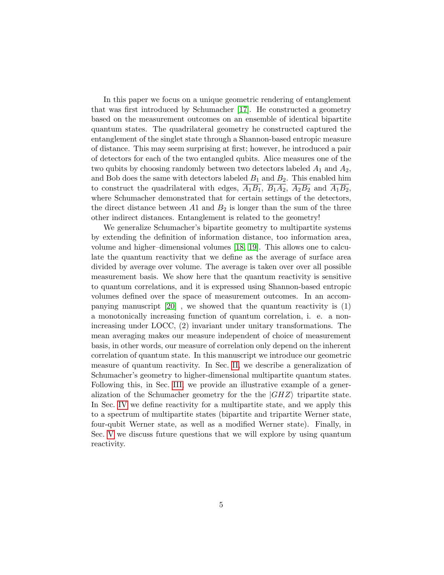In this paper we focus on a unique geometric rendering of entanglement that was first introduced by Schumacher [\[17\]](#page-21-11). He constructed a geometry based on the measurement outcomes on an ensemble of identical bipartite quantum states. The quadrilateral geometry he constructed captured the entanglement of the singlet state through a Shannon-based entropic measure of distance. This may seem surprising at first; however, he introduced a pair of detectors for each of the two entangled qubits. Alice measures one of the two qubits by choosing randomly between two detectors labeled  $A_1$  and  $A_2$ , and Bob does the same with detectors labeled  $B_1$  and  $B_2$ . This enabled him to construct the quadrilateral with edges,  $\overline{A_1B_1}$ ,  $\overline{B_1A_2}$ ,  $\overline{A_2B_2}$  and  $\overline{A_1B_2}$ , where Schumacher demonstrated that for certain settings of the detectors, the direct distance between A1 and  $B_2$  is longer than the sum of the three other indirect distances. Entanglement is related to the geometry!

We generalize Schumacher's bipartite geometry to multipartite systems by extending the definition of information distance, too information area, volume and higher–dimensional volumes [\[18,](#page-21-12) [19\]](#page-22-0). This allows one to calculate the quantum reactivity that we define as the average of surface area divided by average over volume. The average is taken over over all possible measurement basis. We show here that the quantum reactivity is sensitive to quantum correlations, and it is expressed using Shannon-based entropic volumes defined over the space of measurement outcomes. In an accompanying manuscript  $[20]$ , we showed that the quantum reactivity is  $(1)$ a monotonically increasing function of quantum correlation, i. e. a nonincreasing under LOCC, (2) invariant under unitary transformations. The mean averaging makes our measure independent of choice of measurement basis, in other words, our measure of correlation only depend on the inherent correlation of quantum state. In this manuscript we introduce our geometric measure of quantum reactivity. In Sec. [II,](#page-5-0) we describe a generalization of Schumacher's geometry to higher-dimensional multipartite quantum states. Following this, in Sec. [III,](#page-9-0) we provide an illustrative example of a generalization of the Schumacher geometry for the the  $|GHZ\rangle$  tripartite state. In Sec. [IV](#page-12-0) we define reactivity for a multipartite state, and we apply this to a spectrum of multipartite states (bipartite and tripartite Werner state, four-qubit Werner state, as well as a modified Werner state). Finally, in Sec. [V](#page-19-0) we discuss future questions that we will explore by using quantum reactivity.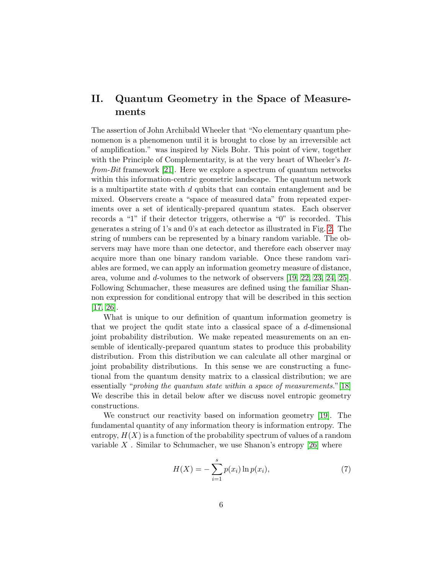# <span id="page-5-0"></span>II. Quantum Geometry in the Space of Measurements

The assertion of John Archibald Wheeler that "No elementary quantum phenomenon is a phenomenon until it is brought to close by an irreversible act of amplification." was inspired by Niels Bohr. This point of view, together with the Principle of Complementarity, is at the very heart of Wheeler's Itfrom-Bit framework [\[21\]](#page-22-2). Here we explore a spectrum of quantum networks within this information-centric geometric landscape. The quantum network is a multipartite state with  $d$  qubits that can contain entanglement and be mixed. Observers create a "space of measured data" from repeated experiments over a set of identically-prepared quantum states. Each observer records a "1" if their detector triggers, otherwise a "0" is recorded. This generates a string of 1's and 0's at each detector as illustrated in Fig. [2.](#page-6-0) The string of numbers can be represented by a binary random variable. The observers may have more than one detector, and therefore each observer may acquire more than one binary random variable. Once these random variables are formed, we can apply an information geometry measure of distance, area, volume and d-volumes to the network of observers [\[19,](#page-22-0) [22,](#page-22-3) [23,](#page-22-4) [24,](#page-22-5) [25\]](#page-22-6). Following Schumacher, these measures are defined using the familiar Shannon expression for conditional entropy that will be described in this section [\[17,](#page-21-11) [26\]](#page-22-7).

What is unique to our definition of quantum information geometry is that we project the qudit state into a classical space of a  $d$ -dimensional joint probability distribution. We make repeated measurements on an ensemble of identically-prepared quantum states to produce this probability distribution. From this distribution we can calculate all other marginal or joint probability distributions. In this sense we are constructing a functional from the quantum density matrix to a classical distribution; we are essentially "*probing the quantum state within a space of measurements.*"[\[18\]](#page-21-12) We describe this in detail below after we discuss novel entropic geometry constructions.

We construct our reactivity based on information geometry [\[19\]](#page-22-0). The fundamental quantity of any information theory is information entropy. The entropy,  $H(X)$  is a function of the probability spectrum of values of a random variable X. Similar to Schumacher, we use Shanon's entropy  $[26]$  where

$$
H(X) = -\sum_{i=1}^{s} p(x_i) \ln p(x_i),
$$
\n(7)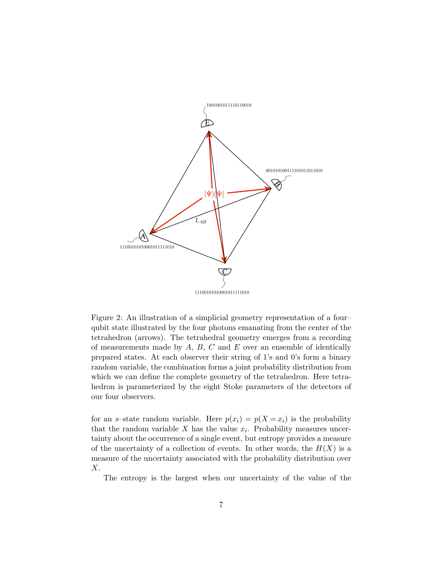

<span id="page-6-0"></span>Figure 2: An illustration of a simplicial geometry representation of a four– qubit state illustrated by the four photons emanating from the center of the tetrahedron (arrows). The tetrahedral geometry emerges from a recording of measurements made by  $A, B, C$  and  $E$  over an ensemble of identically prepared states. At each observer their string of 1's and 0's form a binary random variable, the combination forms a joint probability distribution from which we can define the complete geometry of the tetrahedron. Here tetrahedron is parameterized by the eight Stoke parameters of the detectors of our four observers.

for an s-state random variable. Here  $p(x_i) = p(X = x_i)$  is the probability that the random variable X has the value  $x_i$ . Probability measures uncertainty about the occurrence of a single event, but entropy provides a measure of the uncertainty of a collection of events. In other words, the  $H(X)$  is a measure of the uncertainty associated with the probability distribution over  $X$ .

The entropy is the largest when our uncertainty of the value of the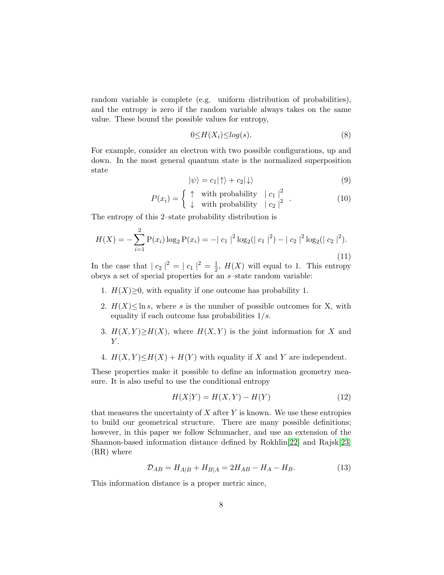random variable is complete (e.g. uniform distribution of probabilities), and the entropy is zero if the random variable always takes on the same value. These bound the possible values for entropy,

$$
0 \le H(X_i) \le \log(s). \tag{8}
$$

For example, consider an electron with two possible configurations, up and down. In the most general quantum state is the normalized superposition state

$$
|\psi\rangle = c_1|\!\uparrow\rangle + c_2|\!\downarrow\rangle \tag{9}
$$

$$
P(x_i) = \begin{cases} \uparrow & \text{with probability} \quad |c_1|^2\\ \downarrow & \text{with probability} \quad |c_2|^2 \end{cases} . \tag{10}
$$

The entropy of this 2–state probability distribution is

$$
H(X) = -\sum_{i=1}^{2} P(x_i) \log_2 P(x_i) = -|c_1|^2 \log_2(|c_1|^2) - |c_2|^2 \log_2(|c_2|^2).
$$
\n(11)

In the case that  $|c_2|^2 = |c_1|^2 = \frac{1}{2}$  $\frac{1}{2}$ ,  $H(X)$  will equal to 1. This entropy obeys a set of special properties for an s–state random variable:

- 1.  $H(X) \geq 0$ , with equality if one outcome has probability 1.
- 2.  $H(X) \leq \ln s$ , where s is the number of possible outcomes for X, with equality if each outcome has probabilities  $1/s$ .
- 3.  $H(X, Y) \ge H(X)$ , where  $H(X, Y)$  is the joint information for X and  $Y$ .
- 4.  $H(X, Y) \leq H(X) + H(Y)$  with equality if X and Y are independent.

These properties make it possible to define an information geometry measure. It is also useful to use the conditional entropy

<span id="page-7-1"></span>
$$
H(X|Y) = H(X,Y) - H(Y)
$$
\n(12)

that measures the uncertainty of  $X$  after  $Y$  is known. We use these entropies to build our geometrical structure. There are many possible definitions; however, in this paper we follow Schumacher, and use an extension of the Shannon-based information distance defined by Rokhlin[\[22\]](#page-22-3) and Rajsk[\[23\]](#page-22-4) (RR) where

<span id="page-7-0"></span>
$$
\mathcal{D}_{AB} = H_{A|B} + H_{B|A} = 2H_{AB} - H_A - H_B. \tag{13}
$$

This information distance is a proper metric since,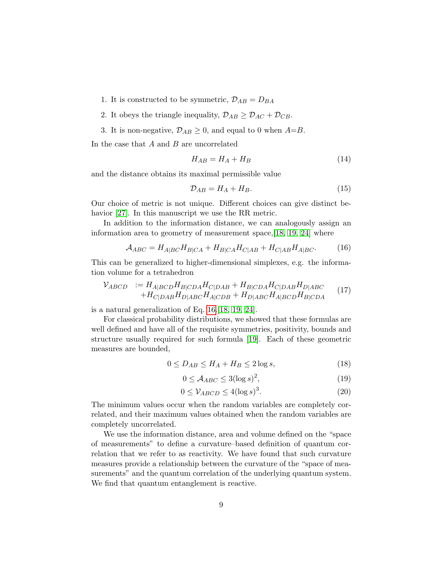- 1. It is constructed to be symmetric,  $\mathcal{D}_{AB} = D_{BA}$
- 2. It obeys the triangle inequality,  $\mathcal{D}_{AB} \geq \mathcal{D}_{AC} + \mathcal{D}_{CB}$ .
- 3. It is non-negative,  $\mathcal{D}_{AB} \geq 0$ , and equal to 0 when  $A=B$ .

In the case that  $A$  and  $B$  are uncorrelated

$$
H_{AB} = H_A + H_B \tag{14}
$$

and the distance obtains its maximal permissible value

$$
\mathcal{D}_{AB} = H_A + H_B. \tag{15}
$$

Our choice of metric is not unique. Different choices can give distinct behavior [\[27\]](#page-22-8). In this manuscript we use the RR metric.

In addition to the information distance, we can analogously assign an information area to geometry of measurement space,[\[18,](#page-21-12) [19,](#page-22-0) [24\]](#page-22-5) where

<span id="page-8-0"></span>
$$
A_{ABC} = H_{A|BC} H_{B|CA} + H_{B|CA} H_{C|AB} + H_{C|AB} H_{A|BC}.
$$
 (16)

This can be generalized to higher-dimensional simplexes, e.g. the information volume for a tetrahedron

<span id="page-8-1"></span>
$$
\mathcal{V}_{ABCD} := H_{A|BCD} H_{B|CDA} H_{C|DAB} + H_{B|CDA} H_{C|DAB} H_{D|ABC}
$$
  
+
$$
H_{C|DAB} H_{D|ABC} H_{A|CDB} + H_{D|ABC} H_{A|BCD} H_{B|CDA}
$$
 (17)

is a natural generalization of Eq. [16.](#page-8-0)[\[18,](#page-21-12) [19,](#page-22-0) [24\]](#page-22-5).

For classical probability distributions, we showed that these formulas are well defined and have all of the requisite symmetries, positivity, bounds and structure usually required for such formula [\[19\]](#page-22-0). Each of these geometric measures are bounded,

$$
0 \le D_{AB} \le H_A + H_B \le 2\log s,\tag{18}
$$

$$
0 \le \mathcal{A}_{ABC} \le 3(\log s)^2,\tag{19}
$$

$$
0 \le \mathcal{V}_{ABCD} \le 4(\log s)^3. \tag{20}
$$

The minimum values occur when the random variables are completely correlated, and their maximum values obtained when the random variables are completely uncorrelated.

We use the information distance, area and volume defined on the "space of measurements" to define a curvature–based definition of quantum correlation that we refer to as reactivity. We have found that such curvature measures provide a relationship between the curvature of the "space of measurements" and the quantum correlation of the underlying quantum system. We find that quantum entanglement is reactive.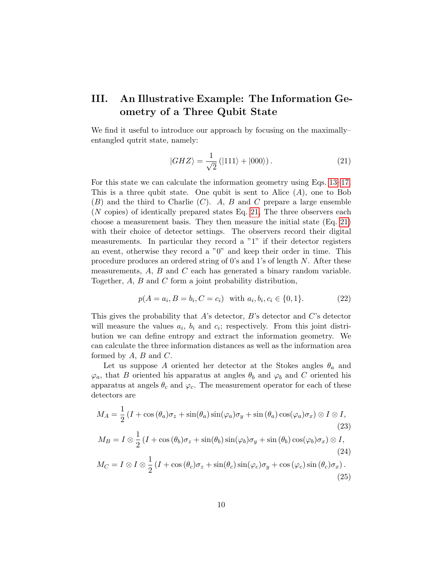# <span id="page-9-0"></span>III. An Illustrative Example: The Information Geometry of a Three Qubit State

We find it useful to introduce our approach by focusing on the maximally– entangled qutrit state, namely:

<span id="page-9-1"></span>
$$
|GHZ\rangle = \frac{1}{\sqrt{2}} (|111\rangle + |000\rangle). \tag{21}
$$

For this state we can calculate the information geometry using Eqs. [13–](#page-7-0)[17.](#page-8-1) This is a three qubit state. One qubit is sent to Alice  $(A)$ , one to Bob  $(B)$  and the third to Charlie  $(C)$ . A, B and C prepare a large ensemble (N copies) of identically prepared states Eq. [21,](#page-9-1) The three observers each choose a measurement basis. They then measure the initial state (Eq. [21\)](#page-9-1) with their choice of detector settings. The observers record their digital measurements. In particular they record a "1" if their detector registers an event, otherwise they record a "0" and keep their order in time. This procedure produces an ordered string of 0's and 1's of length N. After these measurements,  $A$ ,  $B$  and  $C$  each has generated a binary random variable. Together, A, B and C form a joint probability distribution,

<span id="page-9-2"></span>
$$
p(A = a_i, B = b_i, C = c_i) \text{ with } a_i, b_i, c_i \in \{0, 1\}. \tag{22}
$$

This gives the probability that  $A$ 's detector,  $B$ 's detector and  $C$ 's detector will measure the values  $a_i$ ,  $b_i$  and  $c_i$ ; respectively. From this joint distribution we can define entropy and extract the information geometry. We can calculate the three information distances as well as the information area formed by  $A, B$  and  $C$ .

Let us suppose A oriented her detector at the Stokes angles  $\theta_a$  and  $\varphi_a$ , that B oriented his apparatus at angles  $\theta_b$  and  $\varphi_b$  and C oriented his apparatus at angels  $\theta_c$  and  $\varphi_c$ . The measurement operator for each of these detectors are

$$
M_A = \frac{1}{2} \left( I + \cos(\theta_a) \sigma_z + \sin(\theta_a) \sin(\varphi_a) \sigma_y + \sin(\theta_a) \cos(\varphi_a) \sigma_x \right) \otimes I \otimes I,
$$
  
(23)  

$$
M_B = I \otimes \frac{1}{2} \left( I + \cos(\theta_b) \sigma_z + \sin(\theta_b) \sin(\varphi_b) \sigma_y + \sin(\theta_b) \cos(\varphi_b) \sigma_x \right) \otimes I,
$$
  
(24)  

$$
M_C = I \otimes I \otimes \frac{1}{2} \left( I + \cos(\theta_c) \sigma_z + \sin(\theta_c) \sin(\varphi_c) \sigma_y + \cos(\varphi_c) \sin(\theta_c) \sigma_x \right).
$$
  
(25)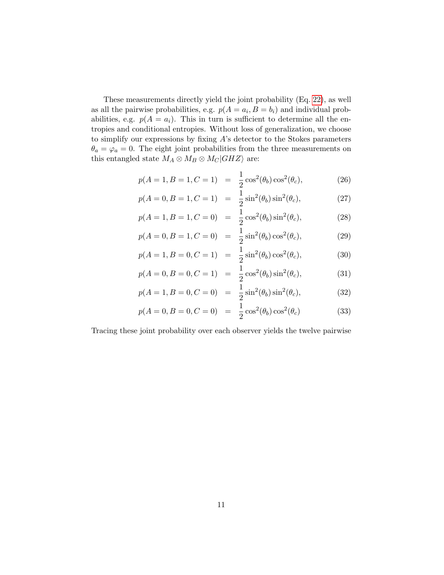These measurements directly yield the joint probability (Eq. [22\)](#page-9-2), as well as all the pairwise probabilities, e.g.  $p(A = a_i, B = b_i)$  and individual probabilities, e.g.  $p(A = a_i)$ . This in turn is sufficient to determine all the entropies and conditional entropies. Without loss of generalization, we choose to simplify our expressions by fixing  $A$ 's detector to the Stokes parameters  $\theta_a = \varphi_a = 0$ . The eight joint probabilities from the three measurements on this entangled state  $M_A \otimes M_B \otimes M_C|GHZ\rangle$  are:

$$
p(A = 1, B = 1, C = 1) = \frac{1}{2}\cos^2(\theta_b)\cos^2(\theta_c),
$$
 (26)

$$
p(A = 0, B = 1, C = 1) = \frac{1}{2}\sin^2(\theta_b)\sin^2(\theta_c),
$$
 (27)

$$
p(A = 1, B = 1, C = 0) = \frac{1}{2}\cos^{2}(\theta_{b})\sin^{2}(\theta_{c}),
$$
\n(28)

$$
p(A = 0, B = 1, C = 0) = \frac{1}{2}\sin^2(\theta_b)\cos^2(\theta_c),
$$
 (29)

$$
p(A=1, B=0, C=1) = \frac{1}{2}\sin^2(\theta_b)\cos^2(\theta_c),
$$
\n(30)

$$
p(A = 0, B = 0, C = 1) = \frac{1}{2}\cos^{2}(\theta_{b})\sin^{2}(\theta_{c}),
$$
\n(31)

$$
p(A = 1, B = 0, C = 0) = \frac{1}{2}\sin^2(\theta_b)\sin^2(\theta_c),
$$
\n(32)

$$
p(A = 0, B = 0, C = 0) = \frac{1}{2}\cos^{2}(\theta_{b})\cos^{2}(\theta_{c})
$$
\n(33)

Tracing these joint probability over each observer yields the twelve pairwise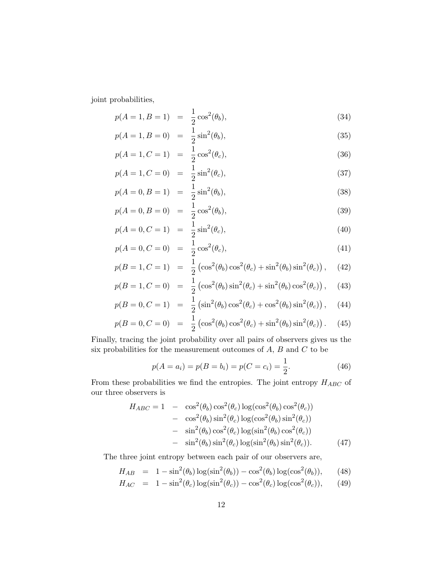joint probabilities,

$$
p(A = 1, B = 1) = \frac{1}{2}\cos^2(\theta_b),
$$
\n(34)

$$
p(A = 1, B = 0) = \frac{1}{2}\sin^2(\theta_b),
$$
\n(35)

$$
p(A = 1, C = 1) = \frac{1}{2}\cos^2(\theta_c),
$$
\n(36)

$$
p(A = 1, C = 0) = \frac{1}{2}\sin^2(\theta_c),
$$
\n(37)

$$
p(A = 0, B = 1) = \frac{1}{2}\sin^2(\theta_b),
$$
\n(38)

$$
p(A = 0, B = 0) = \frac{1}{2}\cos^2(\theta_b),
$$
\n(39)

$$
p(A = 0, C = 1) = \frac{1}{2}\sin^2(\theta_c),
$$
\n(40)

$$
p(A = 0, C = 0) = \frac{1}{2}\cos^2(\theta_c),
$$
\n(41)

$$
p(B = 1, C = 1) = \frac{1}{2} \left( \cos^2(\theta_b) \cos^2(\theta_c) + \sin^2(\theta_b) \sin^2(\theta_c) \right), \quad (42)
$$

$$
p(B = 1, C = 0) = \frac{1}{2} \left( \cos^2(\theta_b) \sin^2(\theta_c) + \sin^2(\theta_b) \cos^2(\theta_c) \right), \quad (43)
$$

$$
p(B = 0, C = 1) = \frac{1}{2} \left( \sin^2(\theta_b) \cos^2(\theta_c) + \cos^2(\theta_b) \sin^2(\theta_c) \right), \quad (44)
$$

$$
p(B = 0, C = 0) = \frac{1}{2} \left( \cos^2(\theta_b) \cos^2(\theta_c) + \sin^2(\theta_b) \sin^2(\theta_c) \right). \tag{45}
$$

Finally, tracing the joint probability over all pairs of observers gives us the six probabilities for the measurement outcomes of  $A, B$  and  $C$  to be

$$
p(A = a_i) = p(B = b_i) = p(C = c_i) = \frac{1}{2}.
$$
\n(46)

From these probabilities we find the entropies. The joint entropy  ${\cal H}_{ABC}$  of our three observers is

$$
H_{ABC} = 1 - \cos^2(\theta_b) \cos^2(\theta_c) \log(\cos^2(\theta_b) \cos^2(\theta_c))
$$
  
-  $\cos^2(\theta_b) \sin^2(\theta_c) \log(\cos^2(\theta_b) \sin^2(\theta_c))$   
-  $\sin^2(\theta_b) \cos^2(\theta_c) \log(\sin^2(\theta_b) \cos^2(\theta_c))$   
-  $\sin^2(\theta_b) \sin^2(\theta_c) \log(\sin^2(\theta_b) \sin^2(\theta_c)).$  (47)

The three joint entropy between each pair of our observers are,

$$
H_{AB} = 1 - \sin^2(\theta_b) \log(\sin^2(\theta_b)) - \cos^2(\theta_b) \log(\cos^2(\theta_b)), \qquad (48)
$$

$$
H_{AC} = 1 - \sin^2(\theta_c) \log(\sin^2(\theta_c)) - \cos^2(\theta_c) \log(\cos^2(\theta_c)), \qquad (49)
$$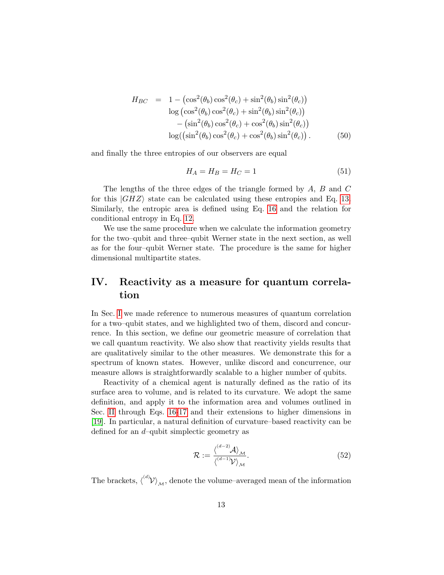$$
H_{BC} = 1 - (\cos^2(\theta_b)\cos^2(\theta_c) + \sin^2(\theta_b)\sin^2(\theta_c))
$$
  
\n
$$
\log(\cos^2(\theta_b)\cos^2(\theta_c) + \sin^2(\theta_b)\sin^2(\theta_c))
$$
  
\n
$$
- (\sin^2(\theta_b)\cos^2(\theta_c) + \cos^2(\theta_b)\sin^2(\theta_c))
$$
  
\n
$$
\log((\sin^2(\theta_b)\cos^2(\theta_c) + \cos^2(\theta_b)\sin^2(\theta_c)).
$$
 (50)

and finally the three entropies of our observers are equal

$$
H_A = H_B = H_C = 1\tag{51}
$$

The lengths of the three edges of the triangle formed by A, B and C for this  $|GHZ\rangle$  state can be calculated using these entropies and Eq. [13.](#page-7-0) Similarly, the entropic area is defined using Eq. [16](#page-8-0) and the relation for conditional entropy in Eq. [12.](#page-7-1)

We use the same procedure when we calculate the information geometry for the two–qubit and three–qubit Werner state in the next section, as well as for the four–qubit Werner state. The procedure is the same for higher dimensional multipartite states.

# <span id="page-12-0"></span>IV. Reactivity as a measure for quantum correlation

In Sec. [I](#page-1-0) we made reference to numerous measures of quantum correlation for a two–qubit states, and we highlighted two of them, discord and concurrence. In this section, we define our geometric measure of correlation that we call quantum reactivity. We also show that reactivity yields results that are qualitatively similar to the other measures. We demonstrate this for a spectrum of known states. However, unlike discord and concurrence, our measure allows is straightforwardly scalable to a higher number of qubits.

Reactivity of a chemical agent is naturally defined as the ratio of its surface area to volume, and is related to its curvature. We adopt the same definition, and apply it to the information area and volumes outlined in Sec. [II](#page-5-0) through Eqs. [16-](#page-8-0)[17](#page-8-1) and their extensions to higher dimensions in [\[19\]](#page-22-0). In particular, a natural definition of curvature–based reactivity can be defined for an d–qubit simplectic geometry as

<span id="page-12-1"></span>
$$
\mathcal{R} := \frac{\langle \lambda \rangle_{\mathcal{M}}}{\langle \lambda \rangle_{\mathcal{M}}}.
$$
\n(52)

The brackets,  $\langle d \rangle_{\mathcal{M}}$ , denote the volume–averaged mean of the information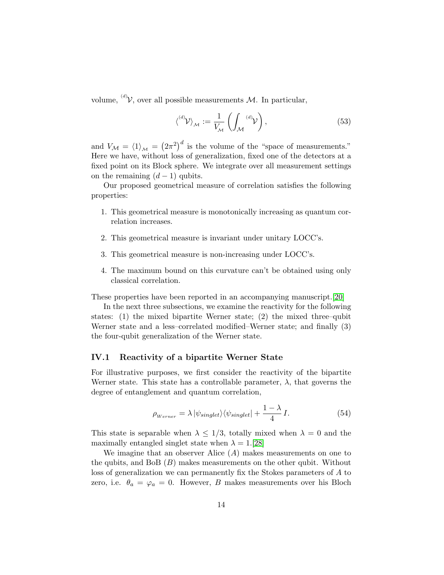volume, <sup>(d)</sup> $V$ , over all possible measurements M. In particular,

$$
\langle^{\langle d\rangle} \mathcal{V} \rangle_{\mathcal{M}} := \frac{1}{V_{\mathcal{M}}} \left( \int_{\mathcal{M}} {}^{\langle d\rangle} \mathcal{V} \right), \tag{53}
$$

and  $V_{\mathcal{M}} = \langle 1 \rangle_{\mathcal{M}} = (2\pi^2)^d$  is the volume of the "space of measurements." Here we have, without loss of generalization, fixed one of the detectors at a fixed point on its Block sphere. We integrate over all measurement settings on the remaining  $(d-1)$  qubits.

Our proposed geometrical measure of correlation satisfies the following properties:

- 1. This geometrical measure is monotonically increasing as quantum correlation increases.
- 2. This geometrical measure is invariant under unitary LOCC's.
- 3. This geometrical measure is non-increasing under LOCC's.
- 4. The maximum bound on this curvature can't be obtained using only classical correlation.

These properties have been reported in an accompanying manuscript.[\[20\]](#page-22-1)

In the next three subsections, we examine the reactivity for the following states: (1) the mixed bipartite Werner state; (2) the mixed three–qubit Werner state and a less–correlated modified–Werner state; and finally (3) the four-qubit generalization of the Werner state.

#### <span id="page-13-0"></span>IV.1 Reactivity of a bipartite Werner State

For illustrative purposes, we first consider the reactivity of the bipartite Werner state. This state has a controllable parameter,  $\lambda$ , that governs the degree of entanglement and quantum correlation,

<span id="page-13-1"></span>
$$
\rho_{Werner} = \lambda \left| \psi_{singlet} \right\rangle \left\langle \psi_{singlet} \right| + \frac{1 - \lambda}{4} I. \tag{54}
$$

This state is separable when  $\lambda \leq 1/3$ , totally mixed when  $\lambda = 0$  and the maximally entangled singlet state when  $\lambda = 1.5$ [\[28\]](#page-22-9)

We imagine that an observer Alice  $(A)$  makes measurements on one to the qubits, and BoB  $(B)$  makes measurements on the other qubit. Without loss of generalization we can permanently fix the Stokes parameters of A to zero, i.e.  $\theta_a = \varphi_a = 0$ . However, B makes measurements over his Bloch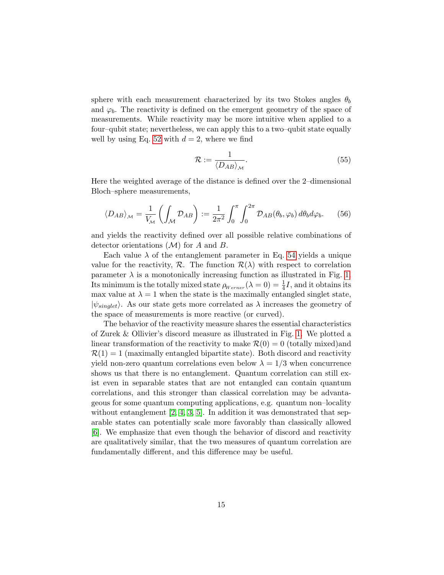sphere with each measurement characterized by its two Stokes angles  $\theta_b$ and  $\varphi_b$ . The reactivity is defined on the emergent geometry of the space of measurements. While reactivity may be more intuitive when applied to a four–qubit state; nevertheless, we can apply this to a two–qubit state equally well by using Eq. [52](#page-12-1) with  $d = 2$ , where we find

$$
\mathcal{R} := \frac{1}{\langle D_{AB} \rangle_{\mathcal{M}}}.\tag{55}
$$

Here the weighted average of the distance is defined over the 2–dimensional Bloch–sphere measurements,

$$
\langle D_{AB} \rangle_{\mathcal{M}} = \frac{1}{V_{\mathcal{M}}} \left( \int_{\mathcal{M}} \mathcal{D}_{AB} \right) := \frac{1}{2\pi^2} \int_0^{\pi} \int_0^{2\pi} \mathcal{D}_{AB}(\theta_b, \varphi_b) \, d\theta_b d\varphi_b. \tag{56}
$$

and yields the reactivity defined over all possible relative combinations of detector orientations  $(\mathcal{M})$  for A and B.

Each value  $\lambda$  of the entanglement parameter in Eq. [54](#page-13-1) yields a unique value for the reactivity,  $\mathcal{R}$ . The function  $\mathcal{R}(\lambda)$  with respect to correlation parameter  $\lambda$  is a monotonically increasing function as illustrated in Fig. [1.](#page-2-0) Its minimum is the totally mixed state  $\rho_{Werner}(\lambda = 0) = \frac{1}{4}I$ , and it obtains its max value at  $\lambda = 1$  when the state is the maximally entangled singlet state,  $|\psi_{sinulet}\rangle$ . As our state gets more correlated as  $\lambda$  increases the geometry of the space of measurements is more reactive (or curved).

The behavior of the reactivity measure shares the essential characteristics of Zurek & Ollivier's discord measure as illustrated in Fig. [1.](#page-2-0) We plotted a linear transformation of the reactivity to make  $\mathcal{R}(0) = 0$  (totally mixed)and  $\mathcal{R}(1) = 1$  (maximally entangled bipartite state). Both discord and reactivity yield non-zero quantum correlations even below  $\lambda = 1/3$  when concurrence shows us that there is no entanglement. Quantum correlation can still exist even in separable states that are not entangled can contain quantum correlations, and this stronger than classical correlation may be advantageous for some quantum computing applications, e.g. quantum non–locality without entanglement  $[2, 4, 3, 5]$  $[2, 4, 3, 5]$  $[2, 4, 3, 5]$  $[2, 4, 3, 5]$ . In addition it was demonstrated that separable states can potentially scale more favorably than classically allowed [\[6\]](#page-21-0). We emphasize that even though the behavior of discord and reactivity are qualitatively similar, that the two measures of quantum correlation are fundamentally different, and this difference may be useful.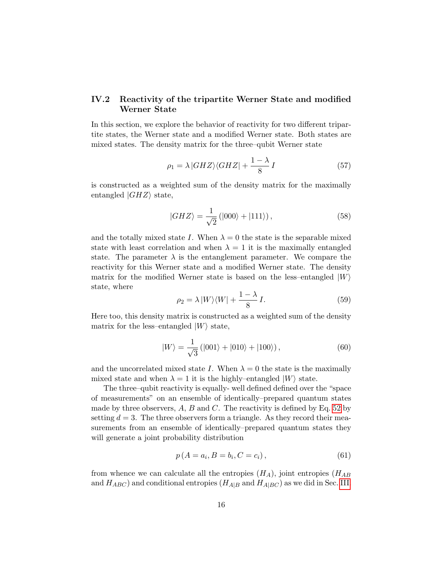#### <span id="page-15-2"></span>IV.2 Reactivity of the tripartite Werner State and modified Werner State

In this section, we explore the behavior of reactivity for two different tripartite states, the Werner state and a modified Werner state. Both states are mixed states. The density matrix for the three–qubit Werner state

<span id="page-15-0"></span>
$$
\rho_1 = \lambda |GHZ\rangle\langle GHZ| + \frac{1-\lambda}{8}I\tag{57}
$$

is constructed as a weighted sum of the density matrix for the maximally entangled  $|GHZ\rangle$  state,

$$
|GHZ\rangle = \frac{1}{\sqrt{2}}\left(|000\rangle + |111\rangle\right),\tag{58}
$$

and the totally mixed state I. When  $\lambda = 0$  the state is the separable mixed state with least correlation and when  $\lambda = 1$  it is the maximally entangled state. The parameter  $\lambda$  is the entanglement parameter. We compare the reactivity for this Werner state and a modified Werner state. The density matrix for the modified Werner state is based on the less–entangled  $|W\rangle$ state, where

<span id="page-15-1"></span>
$$
\rho_2 = \lambda \left| W \right\rangle \left\langle W \right| + \frac{1 - \lambda}{8} I. \tag{59}
$$

Here too, this density matrix is constructed as a weighted sum of the density matrix for the less–entangled  $|W\rangle$  state,

$$
|W\rangle = \frac{1}{\sqrt{3}} (|001\rangle + |010\rangle + |100\rangle), \qquad (60)
$$

and the uncorrelated mixed state I. When  $\lambda = 0$  the state is the maximally mixed state and when  $\lambda = 1$  it is the highly–entangled  $|W\rangle$  state.

The three–qubit reactivity is equally- well defined defined over the "space of measurements" on an ensemble of identically–prepared quantum states made by three observers,  $A, B$  and  $C$ . The reactivity is defined by Eq. [52](#page-12-1) by setting  $d = 3$ . The three observers form a triangle. As they record their measurements from an ensemble of identically–prepared quantum states they will generate a joint probability distribution

$$
p(A = a_i, B = b_i, C = c_i),
$$
\n(61)

from whence we can calculate all the entropies  $(H_A)$ , joint entropies  $(H_{AB})$ and  $H_{ABC}$ ) and conditional entropies  $(H_{A|B} \text{ and } H_{A|BC})$  as we did in Sec. [III.](#page-9-0)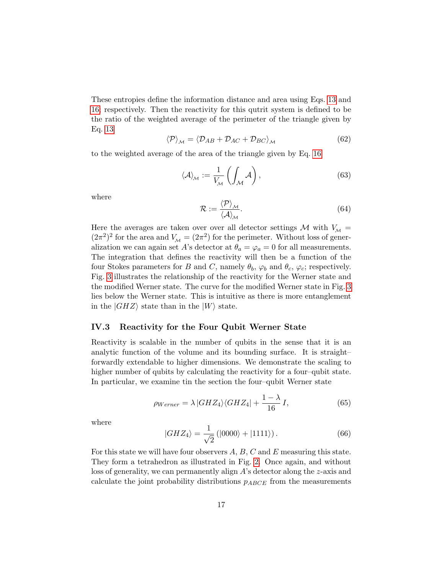These entropies define the information distance and area using Eqs. [13](#page-7-0) and [16;](#page-8-0) respectively. Then the reactivity for this qutrit system is defined to be the ratio of the weighted average of the perimeter of the triangle given by Eq. [13](#page-7-0)

$$
\langle \mathcal{P} \rangle_{\mathcal{M}} = \langle \mathcal{D}_{AB} + \mathcal{D}_{AC} + \mathcal{D}_{BC} \rangle_{\mathcal{M}} \tag{62}
$$

to the weighted average of the area of the triangle given by Eq. [16](#page-8-0)

$$
\langle \mathcal{A} \rangle_{\mathcal{M}} := \frac{1}{V_{\mathcal{M}}} \left( \int_{\mathcal{M}} \mathcal{A} \right), \tag{63}
$$

where

$$
\mathcal{R} := \frac{\langle \mathcal{P} \rangle_{\mathcal{M}}}{\langle \mathcal{A} \rangle_{\mathcal{M}}}.
$$
\n(64)

Here the averages are taken over over all detector settings M with  $V_M$  =  $(2\pi^2)^2$  for the area and  $V_M = (2\pi^2)$  for the perimeter. Without loss of generalization we can again set A's detector at  $\theta_a = \varphi_a = 0$  for all measurements. The integration that defines the reactivity will then be a function of the four Stokes parameters for B and C, namely  $\theta_b$ ,  $\varphi_b$  and  $\theta_c$ ,  $\varphi_c$ ; respectively. Fig. [3](#page-17-0) illustrates the relationship of the reactivity for the Werner state and the modified Werner state. The curve for the modified Werner state in Fig. [3](#page-17-0) lies below the Werner state. This is intuitive as there is more entanglement in the  $|GHZ\rangle$  state than in the  $|W\rangle$  state.

#### IV.3 Reactivity for the Four Qubit Werner State

Reactivity is scalable in the number of qubits in the sense that it is an analytic function of the volume and its bounding surface. It is straight– forwardly extendable to higher dimensions. We demonstrate the scaling to higher number of qubits by calculating the reactivity for a four–qubit state. In particular, we examine tin the section the four–qubit Werner state

<span id="page-16-0"></span>
$$
\rho_{Werner} = \lambda |GHZ_4\rangle\langle GHZ_4| + \frac{1-\lambda}{16}I,\tag{65}
$$

where

$$
|GHZ_4\rangle = \frac{1}{\sqrt{2}} (|0000\rangle + |1111\rangle). \tag{66}
$$

For this state we will have four observers A, B, C and E measuring this state. They form a tetrahedron as illustrated in Fig. [2.](#page-6-0) Once again, and without loss of generality, we can permanently align A's detector along the z-axis and calculate the joint probability distributions  $p_{ABCDE}$  from the measurements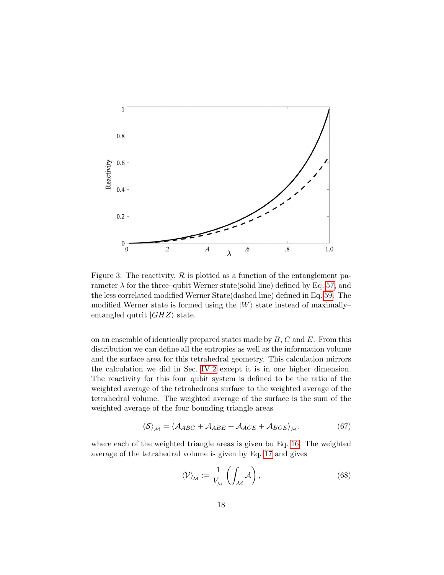

<span id="page-17-0"></span>Figure 3: The reactivity,  $R$  is plotted as a function of the entanglement parameter  $\lambda$  for the three–qubit Werner state(solid line) defined by Eq. [57,](#page-15-0) and the less correlated modified Werner State(dashed line) defined in Eq. [59.](#page-15-1) The modified Werner state is formed using the  $|W\rangle$  state instead of maximally– entangled qutrit  $|GHZ\rangle$  state.

on an ensemble of identically prepared states made by  $B, C$  and  $E$ . From this distribution we can define all the entropies as well as the information volume and the surface area for this tetrahedral geometry. This calculation mirrors the calculation we did in Sec. [IV.2](#page-15-2) except it is in one higher dimension. The reactivity for this four–qubit system is defined to be the ratio of the weighted average of the tetrahedrons surface to the weighted average of the tetrahedral volume. The weighted average of the surface is the sum of the weighted average of the four bounding triangle areas

$$
\langle S \rangle_{\mathcal{M}} = \langle \mathcal{A}_{ABC} + \mathcal{A}_{ABE} + \mathcal{A}_{ACE} + \mathcal{A}_{BCE} \rangle_{\mathcal{M}}.
$$
 (67)

where each of the weighted triangle areas is given bu Eq. [16.](#page-8-0) The weighted average of the tetrahedral volume is given by Eq. [17](#page-8-1) and gives

$$
\langle \mathcal{V} \rangle_{\mathcal{M}} := \frac{1}{V_{\mathcal{M}}} \left( \int_{\mathcal{M}} \mathcal{A} \right), \tag{68}
$$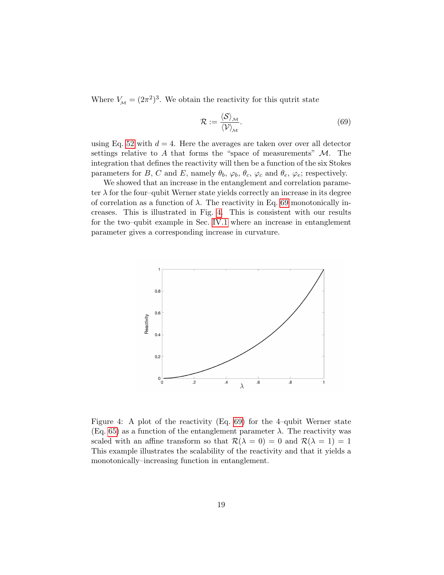Where  $V_M = (2\pi^2)^3$ . We obtain the reactivity for this qutrit state

<span id="page-18-0"></span>
$$
\mathcal{R} := \frac{\langle \mathcal{S} \rangle_{\mathcal{M}}}{\langle \mathcal{V} \rangle_{\mathcal{M}}}.
$$
\n(69)

using Eq. [52](#page-12-1) with  $d = 4$ . Here the averages are taken over over all detector settings relative to A that forms the "space of measurements"  $\mathcal{M}$ . The integration that defines the reactivity will then be a function of the six Stokes parameters for B, C and E, namely  $\theta_b$ ,  $\varphi_b$ ,  $\theta_c$ ,  $\varphi_c$  and  $\theta_e$ ,  $\varphi_e$ ; respectively.

We showed that an increase in the entanglement and correlation parameter  $\lambda$  for the four–qubit Werner state yields correctly an increase in its degree of correlation as a function of  $\lambda$ . The reactivity in Eq. [69](#page-18-0) monotonically increases. This is illustrated in Fig. [4.](#page-18-1) This is consistent with our results for the two–qubit example in Sec. [IV.1](#page-13-0) where an increase in entanglement parameter gives a corresponding increase in curvature.



<span id="page-18-1"></span>Figure 4: A plot of the reactivity (Eq. [69\)](#page-18-0) for the 4–qubit Werner state (Eq. [65\)](#page-16-0) as a function of the entanglement parameter  $\lambda$ . The reactivity was scaled with an affine transform so that  $\mathcal{R}(\lambda = 0) = 0$  and  $\mathcal{R}(\lambda = 1) = 1$ This example illustrates the scalability of the reactivity and that it yields a monotonically–increasing function in entanglement.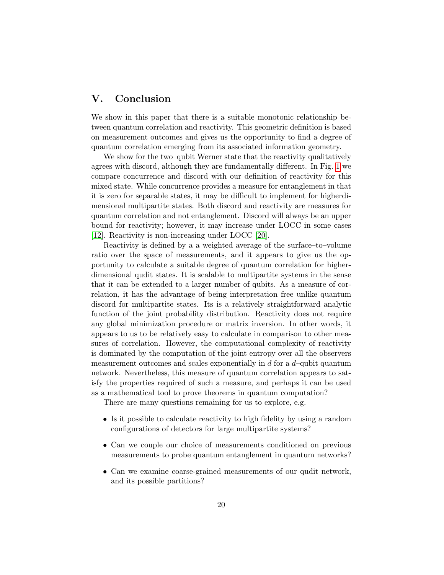## <span id="page-19-0"></span>V. Conclusion

We show in this paper that there is a suitable monotonic relationship between quantum correlation and reactivity. This geometric definition is based on measurement outcomes and gives us the opportunity to find a degree of quantum correlation emerging from its associated information geometry.

We show for the two–qubit Werner state that the reactivity qualitatively agrees with discord, although they are fundamentally different. In Fig. [1](#page-2-0) we compare concurrence and discord with our definition of reactivity for this mixed state. While concurrence provides a measure for entanglement in that it is zero for separable states, it may be difficult to implement for higherdimensional multipartite states. Both discord and reactivity are measures for quantum correlation and not entanglement. Discord will always be an upper bound for reactivity; however, it may increase under LOCC in some cases [\[12\]](#page-21-6). Reactivity is non-increasing under LOCC [\[20\]](#page-22-1).

Reactivity is defined by a a weighted average of the surface–to–volume ratio over the space of measurements, and it appears to give us the opportunity to calculate a suitable degree of quantum correlation for higherdimensional qudit states. It is scalable to multipartite systems in the sense that it can be extended to a larger number of qubits. As a measure of correlation, it has the advantage of being interpretation free unlike quantum discord for multipartite states. Its is a relatively straightforward analytic function of the joint probability distribution. Reactivity does not require any global minimization procedure or matrix inversion. In other words, it appears to us to be relatively easy to calculate in comparison to other measures of correlation. However, the computational complexity of reactivity is dominated by the computation of the joint entropy over all the observers measurement outcomes and scales exponentially in  $d$  for a  $d$ -qubit quantum network. Nevertheless, this measure of quantum correlation appears to satisfy the properties required of such a measure, and perhaps it can be used as a mathematical tool to prove theorems in quantum computation?

There are many questions remaining for us to explore, e.g.

- Is it possible to calculate reactivity to high fidelity by using a random configurations of detectors for large multipartite systems?
- Can we couple our choice of measurements conditioned on previous measurements to probe quantum entanglement in quantum networks?
- Can we examine coarse-grained measurements of our qudit network, and its possible partitions?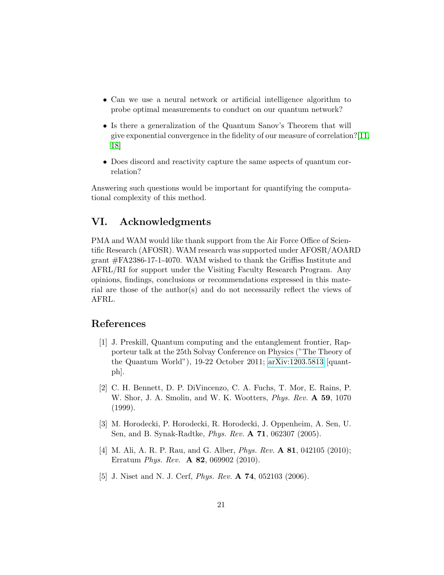- Can we use a neural network or artificial intelligence algorithm to probe optimal measurements to conduct on our quantum network?
- Is there a generalization of the Quantum Sanov's Theorem that will give exponential convergence in the fidelity of our measure of correlation?[\[11,](#page-21-5) [18\]](#page-21-12)
- Does discord and reactivity capture the same aspects of quantum correlation?

Answering such questions would be important for quantifying the computational complexity of this method.

### VI. Acknowledgments

PMA and WAM would like thank support from the Air Force Office of Scientific Research (AFOSR). WAM research was supported under AFOSR/AOARD grant #FA2386-17-1-4070. WAM wished to thank the Griffiss Institute and AFRL/RI for support under the Visiting Faculty Research Program. Any opinions, findings, conclusions or recommendations expressed in this material are those of the author(s) and do not necessarily reflect the views of AFRL.

### References

- <span id="page-20-0"></span>[1] J. Preskill, Quantum computing and the entanglement frontier, Rapporteur talk at the 25th Solvay Conference on Physics ("The Theory of the Quantum World"), 19-22 October 2011; [arXiv:1203.5813](http://arxiv.org/abs/1203.5813) [quantph].
- <span id="page-20-1"></span>[2] C. H. Bennett, D. P. DiVincenzo, C. A. Fuchs, T. Mor, E. Rains, P. W. Shor, J. A. Smolin, and W. K. Wootters, *Phys. Rev.* A 59, 1070 (1999).
- <span id="page-20-3"></span>[3] M. Horodecki, P. Horodecki, R. Horodecki, J. Oppenheim, A. Sen, U. Sen, and B. Synak-Radtke, Phys. Rev. A 71, 062307 (2005).
- <span id="page-20-2"></span>[4] M. Ali, A. R. P. Rau, and G. Alber, *Phys. Rev.* **A 81**, 042105 (2010); Erratum Phys. Rev. A 82, 069902 (2010).
- <span id="page-20-4"></span>[5] J. Niset and N. J. Cerf, *Phys. Rev.* **A 74**, 052103 (2006).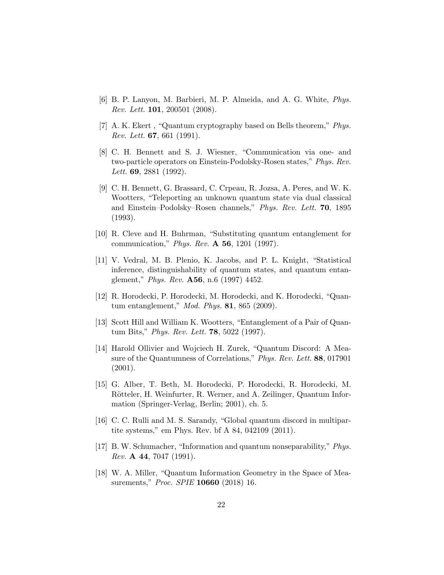- <span id="page-21-0"></span>[6] B. P. Lanyon, M. Barbieri, M. P. Almeida, and A. G. White, Phys. Rev. Lett. 101, 200501 (2008).
- <span id="page-21-1"></span>[7] A. K. Ekert , "Quantum cryptography based on Bells theorem," Phys. Rev. Lett. 67, 661 (1991).
- <span id="page-21-2"></span>[8] C. H. Bennett and S. J. Wiesner, "Communication via one- and two-particle operators on Einstein-Podolsky-Rosen states," Phys. Rev. Lett. **69**, 2881 (1992).
- <span id="page-21-3"></span>[9] C. H. Bennett, G. Brassard, C. Crpeau, R. Jozsa, A. Peres, and W. K. Wootters, "Teleporting an unknown quantum state via dual classical and Einstein–Podolsky–Rosen channels," Phys. Rev. Lett. 70, 1895 (1993).
- <span id="page-21-4"></span>[10] R. Cleve and H. Buhrman, "Substituting quantum entanglement for communication," Phys. Rev. A 56, 1201 (1997).
- <span id="page-21-5"></span>[11] V. Vedral, M. B. Plenio, K. Jacobs, and P. L. Knight, "Statistical inference, distinguishability of quantum states, and quantum entanglement," Phys. Rev. A56, n.6 (1997) 4452.
- <span id="page-21-6"></span>[12] R. Horodecki, P. Horodecki, M. Horodecki, and K. Horodecki, "Quantum entanglement," Mod. Phys. 81, 865 (2009).
- <span id="page-21-7"></span>[13] Scott Hill and William K. Wootters, "Entanglement of a Pair of Quantum Bits," Phys. Rev. Lett. 78, 5022 (1997).
- <span id="page-21-8"></span>[14] Harold Ollivier and Wojciech H. Zurek, "Quantum Discord: A Measure of the Quantumness of Correlations," Phys. Rev. Lett. 88, 017901 (2001).
- <span id="page-21-9"></span>[15] G. Alber, T. Beth, M. Horodecki, P. Horodecki, R. Horodecki, M. Rötteler, H. Weinfurter, R. Werner, and A. Zeilinger, Quantum Information (Springer-Verlag, Berlin; 2001), ch. 5.
- <span id="page-21-10"></span>[16] C. C. Rulli and M. S. Sarandy, "Global quantum discord in multipartite systems," em Phys. Rev. bf A 84, 042109 (2011).
- <span id="page-21-11"></span>[17] B. W. Schumacher, "Information and quantum nonseparability," Phys. *Rev.* **A** 44, 7047 (1991).
- <span id="page-21-12"></span>[18] W. A. Miller, "Quantum Information Geometry in the Space of Measurements," *Proc. SPIE* **10660** (2018) 16.